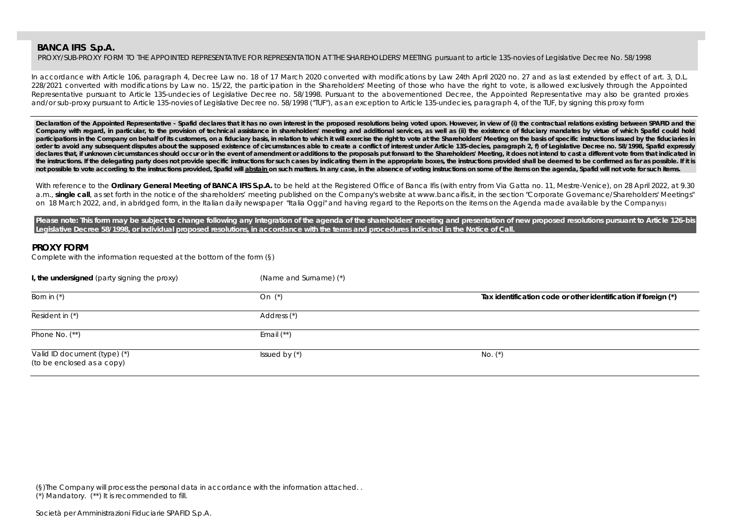PROXY/SUB-PROXY FORM TO THE APPOINTED REPRESENTATIVE FOR REPRESENTATION AT THE SHAREHOLDERS' MEETING pursuant to article 135-novies of Legislative Decree No. 58/1998

In accordance with Article 106, paragraph 4, Decree Law no. 18 of 17 March 2020 converted with modifications by Law 24th April 2020 no. 27 and as last extended by effect of art. 3, D.L. 228/2021 converted with modifications by Law no. 15/22, the participation in the Shareholders' Meeting of those who have the right to vote, is allowed exclusively through the Appointed Representative pursuant to Article 135-undecies of Legislative Decree no. 58/1998. Pursuant to the abovementioned Decree, the Appointed Representative may also be granted proxies and/or sub-proxy pursuant to Article 135-novies of Legislative Decree no. 58/1998 ("TUF"), as an exception to Article 135-undecies, paragraph 4, of the TUF, by signing this proxy form

Declaration of the Appointed Representative - Spafid declares that it has no own interest in the proposed resolutions being voted upon. However, in view of (i) the contractual relations existing between SPAFID and the Company with regard, in particular, to the provision of technical assistance in shareholders' meeting and additional services, as well as (ii) the existence of fiduciary mandates by virtue of which Spafid could hold participations in the Company on behalf of its customers, on a fiduciary basis, in relation to which it will exercise the right to vote at the Shareholders' Meeting on the basis of specific instructions issued by the fiduc **order to avoid any subsequent disputes about the supposed existence of circumstances able to create a conflict of interest under Article 135-decies, paragraph 2, f) of Legislative Decree no. 58/1998, Spafid expressly**  declares that, if unknown circumstances should occur or in the event of amendment or additions to the proposals put forward to the Shareholders' Meeting, it does not intend to cast a different vote from that indicated in the instructions. If the delegating party does not provide specific instructions for such cases by indicating them in the appropriate boxes, the instructions provided shall be deemed to be confirmed as far as possible. If not possible to vote according to the instructions provided, Spafid will abstain on such matters. In any case, in the absence of voting instructions on some of the items on the agenda, Spafid will not vote for such items.

With reference to the **Ordinary General Meeting of BANCA IFIS S.p.A.** to be held at the Registered Office of Banca Ifis (with entry from Via Gatta no. 11, Mestre-Venice), on 28 April 2022, at 9.30 a.m., single call, as set forth in the notice of the shareholders' meeting published on the Company's website at www.bancaifis.it, in the section "Corporate Governance/Shareholders' Meetings" on 18 March 2022, and, in abridged form, in the Italian daily newspaper "Italia Oggi" and having regard to the Reports on the items on the Agenda made available by the Company(§)

Please note: This form may be subject to change following any Integration of the agenda of the shareholders' meeting and presentation of new proposed resolutions pursuant to Article 126-bis **Legislative Decree 58/1998, or individual proposed resolutions, in accordance with the terms and procedures indicated in the Notice of Call.** 

## **PROXY FORM**

Complete with the information requested at the bottom of the form (§)

| I, the undersigned (party signing the proxy)               | (Name and Surname) (*) |                                                                |
|------------------------------------------------------------|------------------------|----------------------------------------------------------------|
| Born in $(*)$                                              | On $(*)$               | Tax identification code or other identification if foreign (*) |
| Resident in (*)                                            | Address (*)            |                                                                |
| Phone No. $(**)$                                           | Email $(**)$           |                                                                |
| Valid ID document (type) (*)<br>(to be enclosed as a copy) | Issued by $(*)$        | No. $(*)$                                                      |

(§)The Company will process the personal data in accordance with the information attached. .

(\*) Mandatory. (\*\*) It is recommended to fill.

Società per Amministrazioni Fiduciarie SPAFID S.p.A.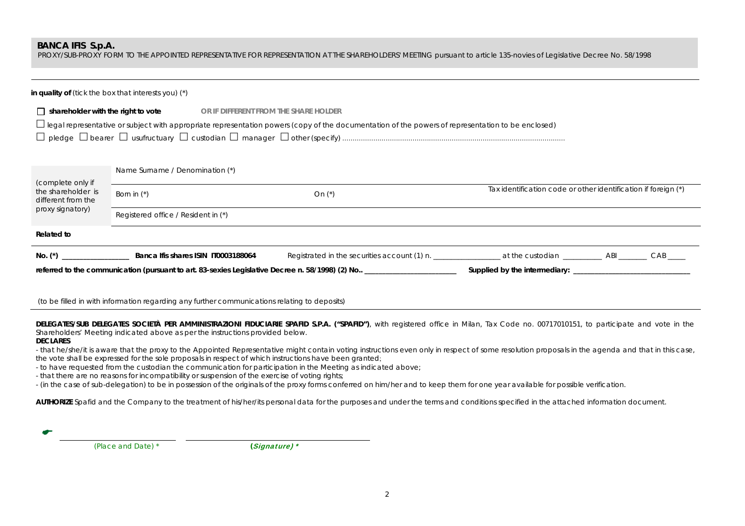PROXY/SUB-PROXY FORM TO THE APPOINTED REPRESENTATIVE FOR REPRESENTATION AT THE SHAREHOLDERS' MEETING pursuant to article 135-novies of Legislative Decree No. 58/1998

|                                                              | in quality of (tick the box that interests you) $(*)$ |                                                                                                                                                          |                                                                |  |
|--------------------------------------------------------------|-------------------------------------------------------|----------------------------------------------------------------------------------------------------------------------------------------------------------|----------------------------------------------------------------|--|
| shareholder with the right to vote                           | or if different from the share holder                 | $\Box$ legal representative or subject with appropriate representation powers (copy of the documentation of the powers of representation to be enclosed) |                                                                |  |
| (complete only if                                            | Name Surname / Denomination (*)                       |                                                                                                                                                          | Tax identification code or other identification if foreign (*) |  |
| the shareholder is<br>different from the<br>proxy signatory) | Born in $(*)$                                         | On $(*)$                                                                                                                                                 |                                                                |  |
|                                                              | Registered office / Resident in (*)                   |                                                                                                                                                          |                                                                |  |
| <b>Related to</b>                                            |                                                       |                                                                                                                                                          |                                                                |  |
|                                                              |                                                       |                                                                                                                                                          |                                                                |  |
|                                                              |                                                       | referred to the communication (pursuant to art. 83-sexies Legislative Decree n. 58/1998) (2) No __________________                                       |                                                                |  |

(to be filled in with information regarding any further communications relating to deposits)

DELEGATES/SUB DELEGATES SOCIETÀ PER AMMINISTRAZIONI FIDUCIARIE SPAFID S.P.A. ("SPAFID"), with registered office in Milan, Tax Code no. 00717010151, to participate and vote in the Shareholders' Meeting indicated above as per the instructions provided below.

#### **DECLARES**

- that he/she/it is aware that the proxy to the Appointed Representative might contain voting instructions even only in respect of some resolution proposals in the agenda and that in this case, the vote shall be expressed for the sole proposals in respect of which instructions have been granted;

- to have requested from the custodian the communication for participation in the Meeting as indicated above;

- that there are no reasons for incompatibility or suspension of the exercise of voting rights;

- (in the case of sub-delegation) to be in possession of the originals of the proxy forms conferred on him/her and to keep them for one year available for possible verification.

**AUTHORIZE** Spafid and the Company to the treatment of his/her/its personal data for the purposes and under the terms and conditions specified in the attached information document.

| $\sim$ |            |  |
|--------|------------|--|
|        | $\sqrt{2}$ |  |

 *(Place and Date) \* (*Signature) \*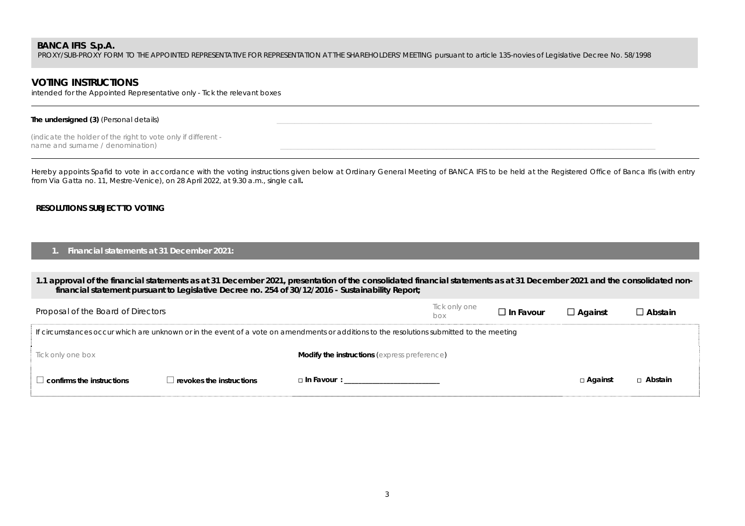PROXY/SUB-PROXY FORM TO THE APPOINTED REPRESENTATIVE FOR REPRESENTATION AT THE SHAREHOLDERS' MEETING pursuant to article 135-novies of Legislative Decree No. 58/1998

# **VOTING INSTRUCTIONS**

intended for the Appointed Representative only - Tick the relevant boxes

#### The undersigned (3) (*Personal details*)

*(indicate the holder of the right to vote only if different*  name and surname / denomination)

Hereby appoints Spafid to vote in accordance with the voting instructions given below at Ordinary General Meeting of BANCA IFIS to be held at the Registered Office of Banca Ifis (with entry from Via Gatta no. 11, Mestre-Venice), on 28 April 2022, at 9.30 a.m., single call**.**

## **RESOLUTIONS SUBJECT TO VOTING**

### **1. Financial statements at 31 December 2021:**

### **1.1 approval of the financial statements as at 31 December 2021, presentation of the consolidated financial statements as at 31 December 2021 and the consolidated nonfinancial statement pursuant to Legislative Decree no. 254 of 30/12/2016 - Sustainability Report;**

| Proposal of the Board of Directors                                                                                                        |                                         |                                                     | Tick only one<br>box | $\Box$ In Favour | $\Box$ Against | □ Abstain      |  |
|-------------------------------------------------------------------------------------------------------------------------------------------|-----------------------------------------|-----------------------------------------------------|----------------------|------------------|----------------|----------------|--|
| If circumstances occur which are unknown or in the event of a vote on amendments or additions to the resolutions submitted to the meeting |                                         |                                                     |                      |                  |                |                |  |
| Tick only one box                                                                                                                         |                                         | <b>Modify the instructions</b> (express preference) |                      |                  |                |                |  |
| $\Box$ confirms the instructions                                                                                                          | $\blacksquare$ revokes the instructions | $\Box$ In Favour :                                  |                      |                  | □ Against      | $\Box$ Abstain |  |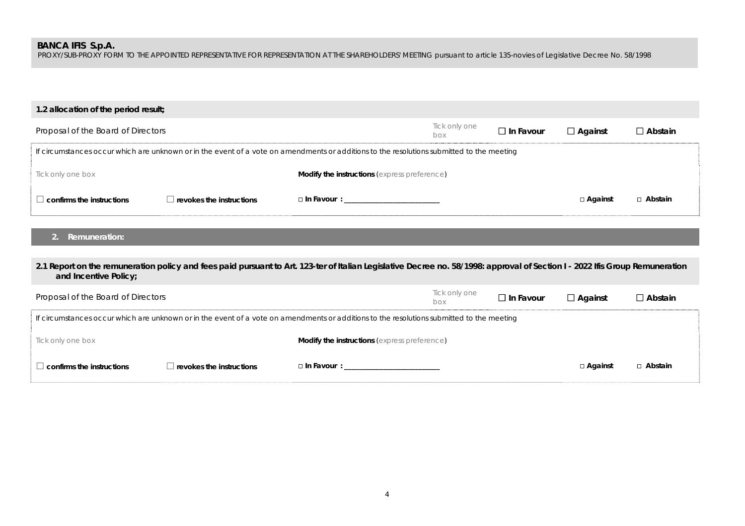PROXY/SUB-PROXY FORM TO THE APPOINTED REPRESENTATIVE FOR REPRESENTATION AT THE SHAREHOLDERS' MEETING pursuant to article 135-novies of Legislative Decree No. 58/1998

| 1.2 allocation of the period result; |                                 |                                                                                                                                                                              |                      |                  |                |                |
|--------------------------------------|---------------------------------|------------------------------------------------------------------------------------------------------------------------------------------------------------------------------|----------------------|------------------|----------------|----------------|
| Proposal of the Board of Directors   |                                 |                                                                                                                                                                              | Tick only one<br>box | $\Box$ In Favour | $\Box$ Against | $\Box$ Abstain |
|                                      |                                 | If circumstances occur which are unknown or in the event of a vote on amendments or additions to the resolutions submitted to the meeting                                    |                      |                  |                |                |
| Tick only one box                    |                                 | <b>Modify the instructions (express preference)</b>                                                                                                                          |                      |                  |                |                |
| $\Box$ confirms the instructions     | $\Box$ revokes the instructions | □ In Favour : _____________________________                                                                                                                                  |                      |                  | □ Against      | $\Box$ Abstain |
|                                      |                                 |                                                                                                                                                                              |                      |                  |                |                |
| <b>Remuneration:</b>                 |                                 |                                                                                                                                                                              |                      |                  |                |                |
|                                      |                                 |                                                                                                                                                                              |                      |                  |                |                |
| and Incentive Policy;                |                                 | 2.1 Report on the remuneration policy and fees paid pursuant to Art. 123-ter of Italian Legislative Decree no. 58/1998: approval of Section I - 2022 Ifis Group Remuneration |                      |                  |                |                |
| Proposal of the Board of Directors   |                                 |                                                                                                                                                                              | Tick only one<br>box | $\Box$ In Favour | $\Box$ Against | $\Box$ Abstain |
|                                      |                                 | If circumstances occur which are unknown or in the event of a vote on amendments or additions to the resolutions submitted to the meeting                                    |                      |                  |                |                |
| Tick only one box                    |                                 | <b>Modify the instructions (express preference)</b>                                                                                                                          |                      |                  |                |                |
| $\Box$ confirms the instructions     | $\Box$ revokes the instructions | $\Box$ In Favour :                                                                                                                                                           |                      |                  | □ Against      | □ Abstain      |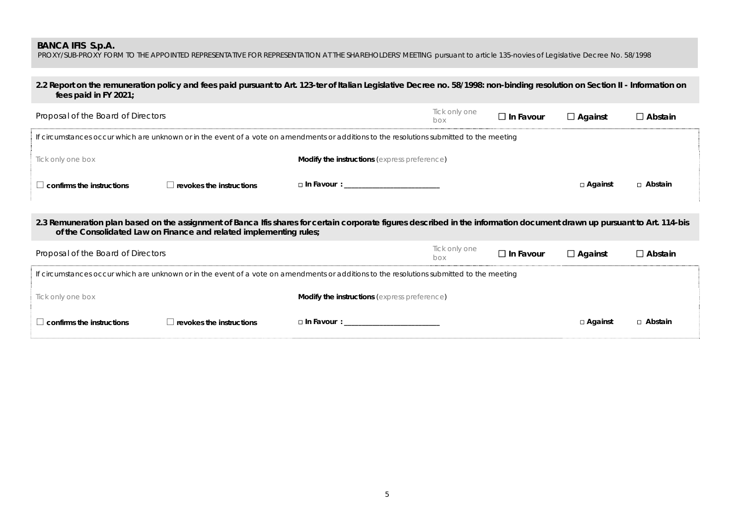PROXY/SUB-PROXY FORM TO THE APPOINTED REPRESENTATIVE FOR REPRESENTATION AT THE SHAREHOLDERS' MEETING pursuant to article 135-novies of Legislative Decree No. 58/1998

## **2.2 Report on the remuneration policy and fees paid pursuant to Art. 123-ter of Italian Legislative Decree no. 58/1998: non-binding resolution on Section II - Information on fees paid in FY 2021;**

| Proposal of the Board of Directors                                                                                                        |                                                                    |                                                                                                                                                                          | Tick only one<br>box | $\Box$ In Favour | $\Box$ Against | $\Box$ Abstain |  |  |
|-------------------------------------------------------------------------------------------------------------------------------------------|--------------------------------------------------------------------|--------------------------------------------------------------------------------------------------------------------------------------------------------------------------|----------------------|------------------|----------------|----------------|--|--|
| If circumstances occur which are unknown or in the event of a vote on amendments or additions to the resolutions submitted to the meeting |                                                                    |                                                                                                                                                                          |                      |                  |                |                |  |  |
| Tick only one box                                                                                                                         |                                                                    | <b>Modify the instructions (express preference)</b>                                                                                                                      |                      |                  |                |                |  |  |
| $\Box$ confirms the instructions                                                                                                          | $\Box$ revokes the instructions                                    | $\Box$ In Favour :                                                                                                                                                       |                      |                  | □ Against      | □ Abstain      |  |  |
|                                                                                                                                           |                                                                    | 2.3 Remuneration plan based on the assignment of Banca Ifis shares for certain corporate figures described in the information document drawn up pursuant to Art. 114-bis |                      |                  |                |                |  |  |
|                                                                                                                                           | of the Consolidated Law on Finance and related implementing rules; |                                                                                                                                                                          |                      |                  |                |                |  |  |
| Proposal of the Board of Directors                                                                                                        |                                                                    |                                                                                                                                                                          | Tick only one<br>box | $\Box$ In Favour | $\Box$ Against | $\Box$ Abstain |  |  |
| If circumstances occur which are unknown or in the event of a vote on amendments or additions to the resolutions submitted to the meeting |                                                                    |                                                                                                                                                                          |                      |                  |                |                |  |  |
| Tick only one box                                                                                                                         |                                                                    | <b>Modify the instructions (express preference)</b>                                                                                                                      |                      |                  |                |                |  |  |

| es the instructions.<br>$r \alpha$<br>^'^ | - 1<br>Favour | □ Against | Abstain |
|-------------------------------------------|---------------|-----------|---------|
|                                           |               |           |         |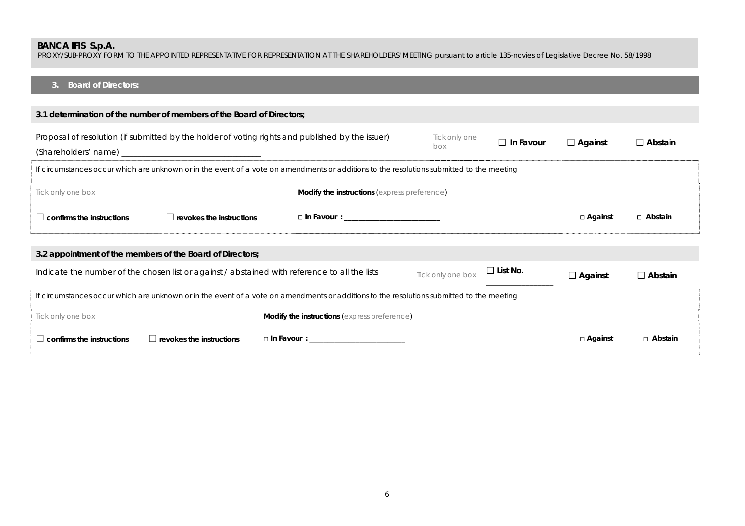PROXY/SUB-PROXY FORM TO THE APPOINTED REPRESENTATIVE FOR REPRESENTATION AT THE SHAREHOLDERS' MEETING pursuant to article 135-novies of Legislative Decree No. 58/1998

#### **3. Board of Directors:**

| 3.1 determination of the number of members of the Board of Directors;                                                                        |                                 |                                                     |                   |                 |                |                |  |  |  |
|----------------------------------------------------------------------------------------------------------------------------------------------|---------------------------------|-----------------------------------------------------|-------------------|-----------------|----------------|----------------|--|--|--|
| Proposal of resolution (if submitted by the holder of voting rights and published by the issuer)<br>Tick only one<br>$\Box$ In Favour<br>box |                                 |                                                     |                   |                 | $\Box$ Against | $\Box$ Abstain |  |  |  |
| If circumstances occur which are unknown or in the event of a vote on amendments or additions to the resolutions submitted to the meeting    |                                 |                                                     |                   |                 |                |                |  |  |  |
| Tick only one box                                                                                                                            |                                 | Modify the instructions (express preference)        |                   |                 |                |                |  |  |  |
| $\Box$ confirms the instructions                                                                                                             | $\Box$ revokes the instructions | $\Box$ In Favour :                                  |                   |                 | □ Against      | □ Abstain      |  |  |  |
| 3.2 appointment of the members of the Board of Directors;                                                                                    |                                 |                                                     |                   |                 |                |                |  |  |  |
| Indicate the number of the chosen list or against / abstained with reference to all the lists                                                |                                 |                                                     | Tick only one box | $\Box$ List No. | $\Box$ Against | $\Box$ Abstain |  |  |  |
| If circumstances occur which are unknown or in the event of a vote on amendments or additions to the resolutions submitted to the meeting    |                                 |                                                     |                   |                 |                |                |  |  |  |
| Tick only one box                                                                                                                            |                                 | <b>Modify the instructions (express preference)</b> |                   |                 |                |                |  |  |  |
| confirms the instructions<br>$\Box$ revokes the instructions                                                                                 |                                 | $\Box$ In Favour $\colon$                           |                   |                 | □ Against      | ⊓ Abstain      |  |  |  |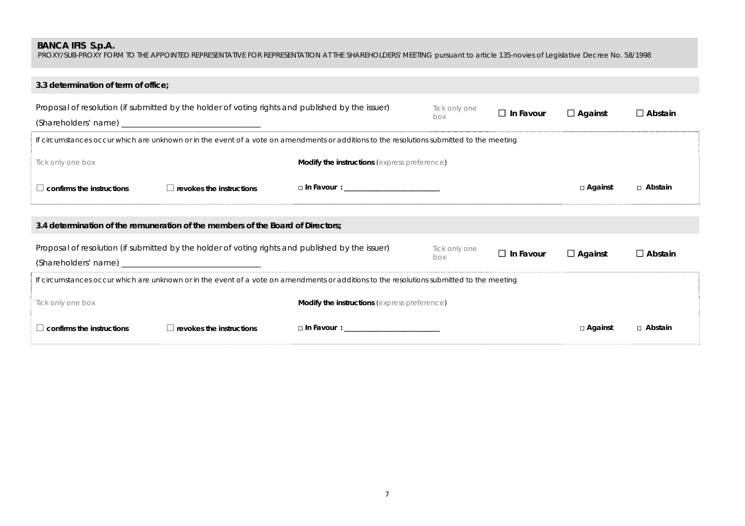PROXY/SUB-PROXY FORM TO THE APPOINTED REPRESENTATIVE FOR REPRESENTATION AT THE SHAREHOLDERS' MEETING pursuant to article 135-novies of Legislative Decree No. 58/1998

| 3.3 determination of term of office;                                                                                                      |                                              |                      |                  |                |                |  |  |
|-------------------------------------------------------------------------------------------------------------------------------------------|----------------------------------------------|----------------------|------------------|----------------|----------------|--|--|
| Proposal of resolution (if submitted by the holder of voting rights and published by the issuer)                                          |                                              | Tick only one<br>box | $\Box$ In Favour | $\Box$ Against | $\Box$ Abstain |  |  |
| If circumstances occur which are unknown or in the event of a vote on amendments or additions to the resolutions submitted to the meeting |                                              |                      |                  |                |                |  |  |
| Tick only one box                                                                                                                         | Modify the instructions (express preference) |                      |                  |                |                |  |  |
| confirms the instructions<br>$\Box$ revokes the instructions                                                                              | $\Box$ In Favour :                           |                      |                  | □ Against      | □ Abstain      |  |  |
|                                                                                                                                           |                                              |                      |                  |                |                |  |  |
| 3.4 determination of the remuneration of the members of the Board of Directors;                                                           |                                              |                      |                  |                |                |  |  |
| Proposal of resolution (if submitted by the holder of voting rights and published by the issuer)                                          |                                              | Tick only one<br>box | $\Box$ In Favour | $\Box$ Against | $\Box$ Abstain |  |  |
| If circumstances occur which are unknown or in the event of a vote on amendments or additions to the resolutions submitted to the meeting |                                              |                      |                  |                |                |  |  |
| Tick only one box                                                                                                                         | Modify the instructions (express preference) |                      |                  |                |                |  |  |
| confirms the instructions<br>$\Box$ revokes the instructions                                                                              | □ In Favour : _____________________________  |                      |                  | □ Against      | □ Abstain      |  |  |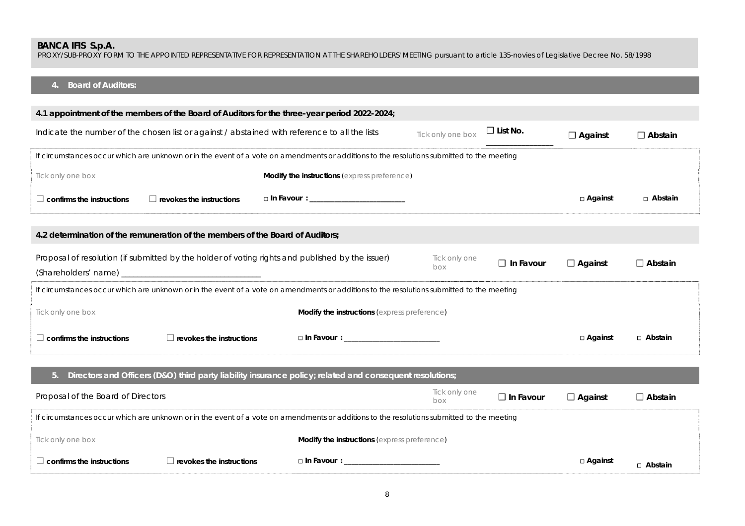PROXY/SUB-PROXY FORM TO THE APPOINTED REPRESENTATIVE FOR REPRESENTATION AT THE SHAREHOLDERS' MEETING pursuant to article 135-novies of Legislative Decree No. 58/1998

#### **4. Board of Auditors:**

|                                                                                                                                           |                                 | 4.1 appointment of the members of the Board of Auditors for the three-year period 2022-2024;                                              |                      |                  |                |                |
|-------------------------------------------------------------------------------------------------------------------------------------------|---------------------------------|-------------------------------------------------------------------------------------------------------------------------------------------|----------------------|------------------|----------------|----------------|
| Indicate the number of the chosen list or against / abstained with reference to all the lists                                             |                                 |                                                                                                                                           | Tick only one box    | $\Box$ List No.  | $\Box$ Against | $\Box$ Abstain |
|                                                                                                                                           |                                 | If circumstances occur which are unknown or in the event of a vote on amendments or additions to the resolutions submitted to the meeting |                      |                  |                |                |
| Tick only one box                                                                                                                         |                                 | Modify the instructions (express preference)                                                                                              |                      |                  |                |                |
| $\Box$ confirms the instructions                                                                                                          | $\Box$ revokes the instructions | □ In Favour : _____________________________                                                                                               |                      |                  | $\Box$ Against | □ Abstain      |
| 4.2 determination of the remuneration of the members of the Board of Auditors;                                                            |                                 |                                                                                                                                           |                      |                  |                |                |
|                                                                                                                                           |                                 | Proposal of resolution (if submitted by the holder of voting rights and published by the issuer)                                          | Tick only one<br>box | $\Box$ In Favour | $\Box$ Against | $\Box$ Abstain |
|                                                                                                                                           |                                 | If circumstances occur which are unknown or in the event of a vote on amendments or additions to the resolutions submitted to the meeting |                      |                  |                |                |
| Tick only one box                                                                                                                         |                                 | <b>Modify the instructions</b> (express preference)                                                                                       |                      |                  |                |                |
| $\Box$ confirms the instructions                                                                                                          | $\Box$ revokes the instructions | □ In Favour : ______________________________                                                                                              |                      |                  | $\Box$ Against | □ Abstain      |
| 5.                                                                                                                                        |                                 | Directors and Officers (D&O) third party liability insurance policy; related and consequent resolutions;                                  |                      |                  |                |                |
| Proposal of the Board of Directors                                                                                                        |                                 |                                                                                                                                           | Tick only one<br>box | $\Box$ In Favour | $\Box$ Against | $\Box$ Abstain |
| If circumstances occur which are unknown or in the event of a vote on amendments or additions to the resolutions submitted to the meeting |                                 |                                                                                                                                           |                      |                  |                |                |
| Tick only one box                                                                                                                         |                                 | <b>Modify the instructions</b> (express preference)                                                                                       |                      |                  |                |                |
| $\Box$ confirms the instructions                                                                                                          | $\Box$ revokes the instructions | □ In Favour : ____________________                                                                                                        |                      |                  | □ Against      | □ Abstain      |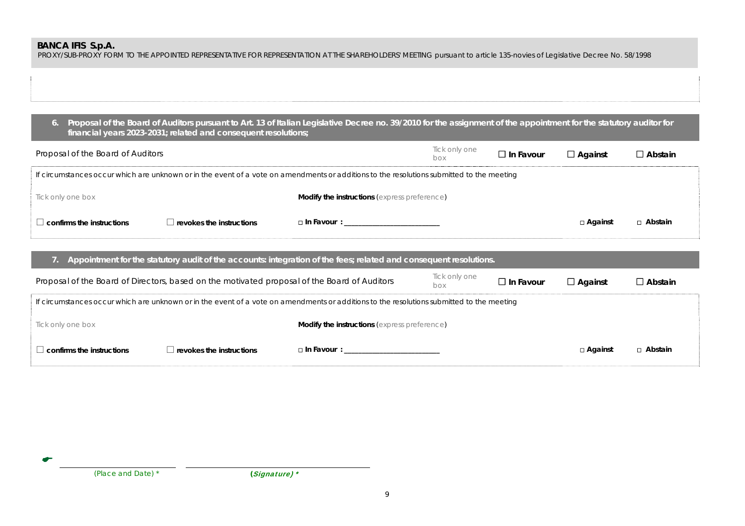PROXY/SUB-PROXY FORM TO THE APPOINTED REPRESENTATIVE FOR REPRESENTATION AT THE SHAREHOLDERS' MEETING pursuant to article 135-novies of Legislative Decree No. 58/1998

**6. Proposal of the Board of Auditors pursuant to Art. 13 of Italian Legislative Decree no. 39/2010 for the assignment of the appointment for the statutory auditor for financial years 2023-2031; related and consequent resolutions;** 

| Proposal of the Board of Auditors                                                                                                         |                                 |                                                     | Tick only one<br>box | $\Box$ In Favour | $\Box$ Against | $\Box$ Abstain |  |
|-------------------------------------------------------------------------------------------------------------------------------------------|---------------------------------|-----------------------------------------------------|----------------------|------------------|----------------|----------------|--|
| If circumstances occur which are unknown or in the event of a vote on amendments or additions to the resolutions submitted to the meeting |                                 |                                                     |                      |                  |                |                |  |
| Tick only one box                                                                                                                         |                                 | <b>Modify the instructions (express preference)</b> |                      |                  |                |                |  |
| $\Box$ confirms the instructions                                                                                                          | $\Box$ revokes the instructions | $\Box$ In Favour :                                  |                      |                  | $\Box$ Against | $\Box$ Abstain |  |

### **7. Appointment for the statutory audit of the accounts: integration of the fees; related and consequent resolutions.**

| Proposal of the Board of Directors, based on the motivated proposal of the Board of Auditors                                              |                                 |                                                     | Tick only one<br>box | $\Box$ In Favour | $\Box$ Against | $\Box$ Abstain |  |
|-------------------------------------------------------------------------------------------------------------------------------------------|---------------------------------|-----------------------------------------------------|----------------------|------------------|----------------|----------------|--|
| If circumstances occur which are unknown or in the event of a vote on amendments or additions to the resolutions submitted to the meeting |                                 |                                                     |                      |                  |                |                |  |
| Tick only one box                                                                                                                         |                                 | <b>Modify the instructions (express preference)</b> |                      |                  |                |                |  |
| $\Box$ confirms the instructions                                                                                                          | $\Box$ revokes the instructions | $\Box$ In Favour :                                  |                      |                  | □ Against      | □ Abstain      |  |

 *(Place and Date) \* (*Signature) \*

σ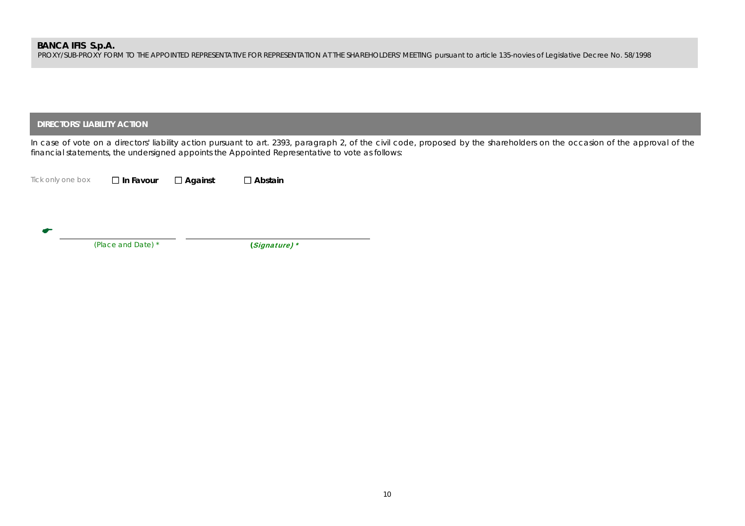PROXY/SUB-PROXY FORM TO THE APPOINTED REPRESENTATIVE FOR REPRESENTATION AT THE SHAREHOLDERS' MEETING pursuant to article 135-novies of Legislative Decree No. 58/1998

## **DIRECTORS' LIABILITY ACTION**

In case of vote on a directors' liability action pursuant to art. 2393, paragraph 2, of the civil code, proposed by the shareholders on the occasion of the approval of the financial statements, the undersigned appoints the Appointed Representative to vote as follows:

*Tick only one box*  **In Favour Against Abstain**

 $\bullet$ 

 *(Place and Date) \* (*Signature) \*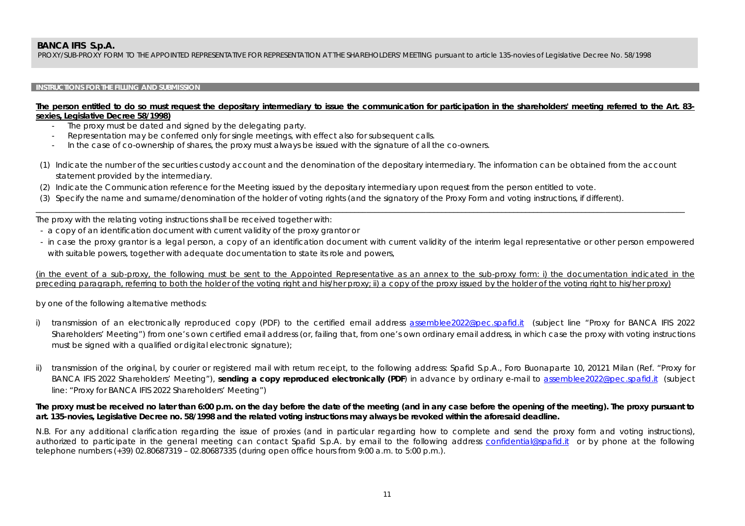PROXY/SUB-PROXY FORM TO THE APPOINTED REPRESENTATIVE FOR REPRESENTATION AT THE SHAREHOLDERS' MEETING pursuant to article 135-novies of Legislative Decree No. 58/1998

### **INSTRUCTIONS FOR THE FILLING AND SUBMISSION**

### **The person entitled to do so must request the depositary intermediary to issue the communication for participation in the shareholders' meeting referred to the Art. 83 sexies, Legislative Decree 58/1998)**

- -The proxy must be dated and signed by the delegating party.
- -Representation may be conferred only for single meetings, with effect also for subsequent calls.
- In the case of co-ownership of shares, the proxy must always be issued with the signature of all the co-owners.
- (1) Indicate the number of the securities custody account and the denomination of the depositary intermediary. The information can be obtained from the account statement provided by the intermediary.

\_\_\_\_\_\_\_\_\_\_\_\_\_\_\_\_\_\_\_\_\_\_\_\_\_\_\_\_\_\_\_\_\_\_\_\_\_\_\_\_\_\_\_\_\_\_\_\_\_\_\_\_\_\_\_\_\_\_\_\_\_\_\_\_\_\_\_\_\_\_\_\_\_\_\_\_\_\_\_\_\_\_\_\_\_\_\_\_\_\_\_\_\_\_\_\_\_\_\_\_\_\_\_\_\_\_\_\_\_\_\_\_\_\_\_\_\_\_\_\_\_\_\_\_\_\_\_\_\_\_\_\_\_\_\_\_\_\_\_\_\_\_\_\_\_\_\_\_\_\_\_\_\_\_\_\_\_\_\_\_\_\_\_

- (2) Indicate the Communication reference for the Meeting issued by the depositary intermediary upon request from the person entitled to vote.
- (3) Specify the name and surname/denomination of the holder of voting rights (and the signatory of the Proxy Form and voting instructions, if different).

The proxy with the relating voting instructions shall be received together with:

- a copy of an identification document with current validity of the proxy grantor or
- in case the proxy grantor is a legal person, a copy of an identification document with current validity of the interim legal representative or other person empowered with suitable powers, together with adequate documentation to state its role and powers,

(in the event of a sub-proxy, the following must be sent to the Appointed Representative as an annex to the sub-proxy form: i) the documentation indicated in the preceding paragraph, referring to both the holder of the voting right and his/her proxy; ii) a copy of the proxy issued by the holder of the voting right to his/her proxy)

by one of the following alternative methods:

- i) transmission of an electronically reproduced copy (PDF) to the certified email address assemblee2022@pec.spafid.it (subject line "Proxy for BANCA IFIS 2022 Shareholders' Meeting") from one's own certified email address (or, failing that, from one's own ordinary email address, in which case the proxy with voting instructions must be signed with a qualified or digital electronic signature);
- transmission of the original, by courier or registered mail with return receipt, to the following address: Spafid S.p.A., Foro Buonaparte 10, 20121 Milan (Ref. "Proxy for BANCA IFIS 2022 Shareholders' Meeting"), **sending a copy reproduced electronically (PDF**) in advance by ordinary e-mail to assemblee2022@pec.spafid.it (subject line: "Proxy for BANCA IFIS 2022 Shareholders' Meeting")

## **The proxy must be received no later than 6:00 p.m. on the day before the date of the meeting (and in any case before the opening of the meeting). The proxy pursuant to art. 135-novies, Legislative Decree no. 58/1998 and the related voting instructions may always be revoked within the aforesaid deadline.**

N.B. For any additional clarification regarding the issue of proxies (and in particular regarding how to complete and send the proxy form and voting instructions), authorized to participate in the general meeting can contact Spafid S.p.A. by email to the following address confidential@spafid.it or by phone at the following telephone numbers (+39) 02.80687319 – 02.80687335 (during open office hours from 9:00 a.m. to 5:00 p.m.).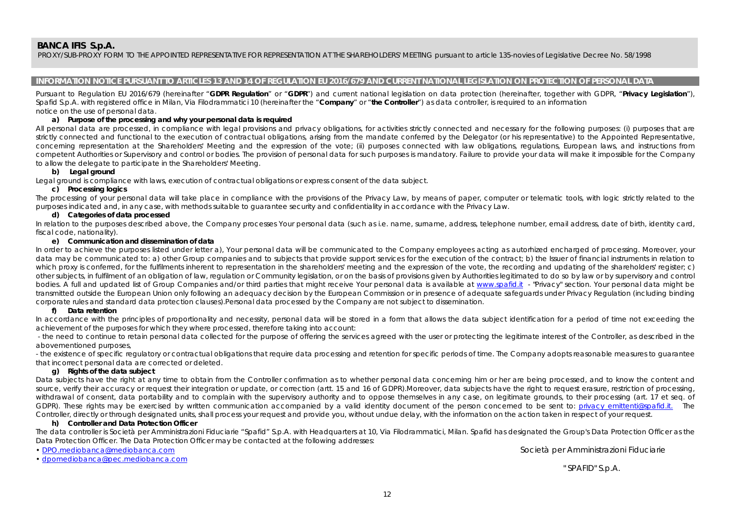PROXY/SUB-PROXY FORM TO THE APPOINTED REPRESENTATIVE FOR REPRESENTATION AT THE SHAREHOLDERS' MEETING pursuant to article 135-novies of Legislative Decree No. 58/1998

#### **INFORMATION NOTICE PURSUANT TO ARTICLES 13 AND 14 OF REGULATION EU 2016/679 AND CURRENT NATIONAL LEGISLATION ON PROTECTION OF PERSONAL DATA**

Pursuant to Regulation EU 2016/679 (hereinafter "**GDPR Regulation**" or "**GDPR**") and current national legislation on data protection (hereinafter, together with GDPR, "**Privacy Legislation**"), Spafid S.p.A. with registered office in Milan, Via Filodrammatici 10 (hereinafter the "**Company**" or "**the Controller**") as data controller, is required to an information notice on the use of personal data.

#### **a) Purpose of the processing and why your personal data is required**

All personal data are processed, in compliance with legal provisions and privacy obligations, for activities strictly connected and necessary for the following purposes: (i) purposes that are strictly connected and functional to the execution of contractual obligations, arising from the mandate conferred by the Delegator (or his representative) to the Appointed Representative, concerning representation at the Shareholders' Meeting and the expression of the vote; (ii) purposes connected with law obligations, regulations, European laws, and instructions from competent Authorities or Supervisory and control or bodies. The provision of personal data for such purposes is mandatory. Failure to provide your data will make it impossible for the Company to allow the delegate to participate in the Shareholders' Meeting.

#### **b) Legal ground**

Legal ground is compliance with laws, execution of contractual obligations or express consent of the data subject.

#### **c) Processing logics**

The processing of your personal data will take place in compliance with the provisions of the Privacy Law, by means of paper, computer or telematic tools, with logic strictly related to the purposes indicated and, in any case, with methods suitable to guarantee security and confidentiality in accordance with the Privacy Law.

#### **d) Categories of data processed**

In relation to the purposes described above, the Company processes Your personal data (such as i.e. name, surname, address, telephone number, email address, date of birth, identity card, fiscal code, nationality).

#### **e) Communication and dissemination of data**

In order to achieve the purposes listed under letter a), Your personal data will be communicated to the Company employees acting as autorhized encharged of processing. Moreover, your data may be communicated to: a) other Group companies and to subjects that provide support services for the execution of the contract; b) the Issuer of financial instruments in relation to which proxy is conferred, for the fulfilments inherent to representation in the shareholders' meeting and the expression of the vote, the recording and updating of the shareholders' register; c) other subjects, in fulfilment of an obligation of law, regulation or Community legislation, or on the basis of provisions given by Authorities legitimated to do so by law or by supervisory and control bodies. A full and updated list of Group Companies and/or third parties that might receive Your personal data is available at www.spafid.it - "Privacy" section. Your personal data might be transmitted outside the European Union only following an adequacy decision by the European Commission or in presence of adequate safeguards under Privacy Regulation (including binding corporate rules and standard data protection clauses).Personal data processed by the Company are not subject to dissemination.

#### **f) Data retention**

In accordance with the principles of proportionality and necessity, personal data will be stored in a form that allows the data subject identification for a period of time not exceeding the achievement of the purposes for which they where processed, therefore taking into account:

 - the need to continue to retain personal data collected for the purpose of offering the services agreed with the user or protecting the legitimate interest of the Controller, as described in the abovementioned purposes,

- the existence of specific regulatory or contractual obligations that require data processing and retention for specific periods of time. The Company adopts reasonable measures to guarantee that incorrect personal data are corrected or deleted.

#### **g) Rights of the data subject**

Data subjects have the right at any time to obtain from the Controller confirmation as to whether personal data concerning him or her are being processed, and to know the content and source, verify their accuracy or request their integration or update, or correction (artt. 15 and 16 of GDPR).Moreover, data subjects have the right to request erasure, restriction of processing, withdrawal of consent, data portability and to complain with the supervisory authority and to oppose themselves in any case, on legitimate grounds, to their processing (art. 17 et seg. of GDPR). These rights may be exercised by written communication accompanied by a valid identity document of the person concerned to be sent to: privacy emittenti@spafid.it. The Controller, directly or through designated units, shall process your request and provide you, without undue delay, with the information on the action taken in respect of your request.

#### **h) Controller and Data Protection Officer**

The data controller is Società per Amministrazioni Fiduciarie "Spafid" S.p.A. with Headquarters at 10, Via Filodrammatici, Milan. Spafid has designated the Group's Data Protection Officer as the Data Protection Officer. The Data Protection Officer may be contacted at the following addresses:

• DPO.mediobanca@mediobanca.com

Società per Amministrazioni Fiduciarie

• dpomediobanca@pec.mediobanca.com

" SPAFID" S.p.A.